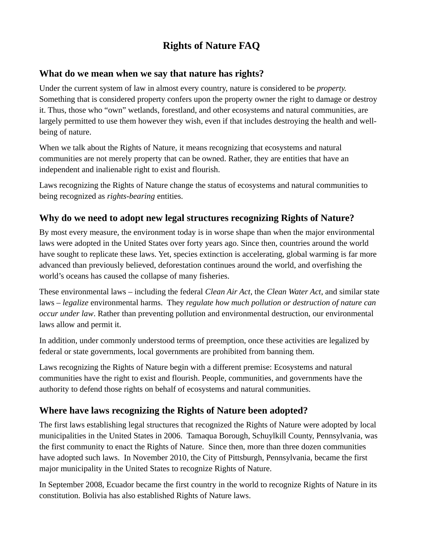# **Rights of Nature FAQ**

#### **What do we mean when we say that nature has rights?**

Under the current system of law in almost every country, nature is considered to be *property.* Something that is considered property confers upon the property owner the right to damage or destroy it. Thus, those who "own" wetlands, forestland, and other ecosystems and natural communities, are largely permitted to use them however they wish, even if that includes destroying the health and wellbeing of nature.

When we talk about the Rights of Nature, it means recognizing that ecosystems and natural communities are not merely property that can be owned. Rather, they are entities that have an independent and inalienable right to exist and flourish.

Laws recognizing the Rights of Nature change the status of ecosystems and natural communities to being recognized as *rights-bearing* entities.

### **Why do we need to adopt new legal structures recognizing Rights of Nature?**

By most every measure, the environment today is in worse shape than when the major environmental laws were adopted in the United States over forty years ago. Since then, countries around the world have sought to replicate these laws. Yet, species extinction is accelerating, global warming is far more advanced than previously believed, deforestation continues around the world, and overfishing the world's oceans has caused the collapse of many fisheries.

These environmental laws – including the federal *Clean Air Act*, the *Clean Water Act*, and similar state laws – *legalize* environmental harms. They *regulate how much pollution or destruction of nature can occur under law*. Rather than preventing pollution and environmental destruction, our environmental laws allow and permit it.

In addition, under commonly understood terms of preemption, once these activities are legalized by federal or state governments, local governments are prohibited from banning them.

Laws recognizing the Rights of Nature begin with a different premise: Ecosystems and natural communities have the right to exist and flourish. People, communities, and governments have the authority to defend those rights on behalf of ecosystems and natural communities.

#### **Where have laws recognizing the Rights of Nature been adopted?**

The first laws establishing legal structures that recognized the Rights of Nature were adopted by local municipalities in the United States in 2006. Tamaqua Borough, Schuylkill County, Pennsylvania, was the first community to enact the Rights of Nature. Since then, more than three dozen communities have adopted such laws. In November 2010, the City of Pittsburgh, Pennsylvania, became the first major municipality in the United States to recognize Rights of Nature.

In September 2008, Ecuador became the first country in the world to recognize Rights of Nature in its constitution. Bolivia has also established Rights of Nature laws.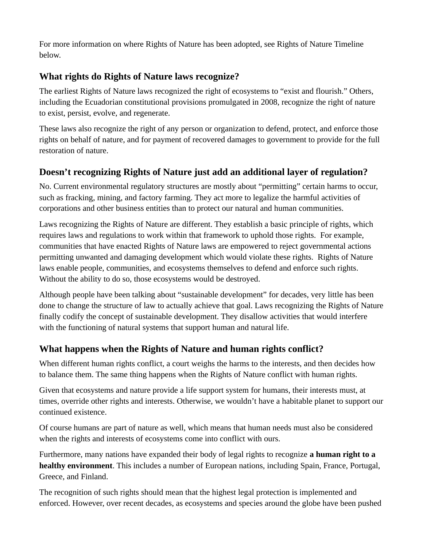For more information on where Rights of Nature has been adopted, see Rights of Nature Timeline below.

### **What rights do Rights of Nature laws recognize?**

The earliest Rights of Nature laws recognized the right of ecosystems to "exist and flourish." Others, including the Ecuadorian constitutional provisions promulgated in 2008, recognize the right of nature to exist, persist, evolve, and regenerate.

These laws also recognize the right of any person or organization to defend, protect, and enforce those rights on behalf of nature, and for payment of recovered damages to government to provide for the full restoration of nature.

## **Doesn't recognizing Rights of Nature just add an additional layer of regulation?**

No. Current environmental regulatory structures are mostly about "permitting" certain harms to occur, such as fracking, mining, and factory farming. They act more to legalize the harmful activities of corporations and other business entities than to protect our natural and human communities.

Laws recognizing the Rights of Nature are different. They establish a basic principle of rights, which requires laws and regulations to work within that framework to uphold those rights. For example, communities that have enacted Rights of Nature laws are empowered to reject governmental actions permitting unwanted and damaging development which would violate these rights. Rights of Nature laws enable people, communities, and ecosystems themselves to defend and enforce such rights. Without the ability to do so, those ecosystems would be destroyed.

Although people have been talking about "sustainable development" for decades, very little has been done to change the structure of law to actually achieve that goal. Laws recognizing the Rights of Nature finally codify the concept of sustainable development. They disallow activities that would interfere with the functioning of natural systems that support human and natural life.

#### **What happens when the Rights of Nature and human rights conflict?**

When different human rights conflict, a court weighs the harms to the interests, and then decides how to balance them. The same thing happens when the Rights of Nature conflict with human rights.

Given that ecosystems and nature provide a life support system for humans, their interests must, at times, override other rights and interests. Otherwise, we wouldn't have a habitable planet to support our continued existence.

Of course humans are part of nature as well, which means that human needs must also be considered when the rights and interests of ecosystems come into conflict with ours.

Furthermore, many nations have expanded their body of legal rights to recognize **a human right to a healthy environment**. This includes a number of European nations, including Spain, France, Portugal, Greece, and Finland.

The recognition of such rights should mean that the highest legal protection is implemented and enforced. However, over recent decades, as ecosystems and species around the globe have been pushed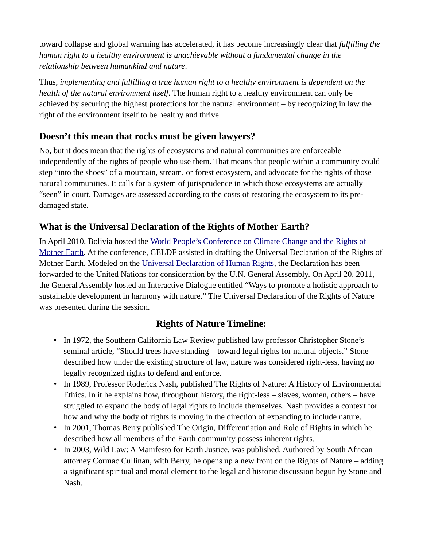toward collapse and global warming has accelerated, it has become increasingly clear that *fulfilling the human right to a healthy environment is unachievable without a fundamental change in the relationship between humankind and nature*.

Thus, *implementing and fulfilling a true human right to a healthy environment is dependent on the health of the natural environment itself*. The human right to a healthy environment can only be achieved by securing the highest protections for the natural environment – by recognizing in law the right of the environment itself to be healthy and thrive.

### **Doesn't this mean that rocks must be given lawyers?**

No, but it does mean that the rights of ecosystems and natural communities are enforceable independently of the rights of people who use them. That means that people within a community could step "into the shoes" of a mountain, stream, or forest ecosystem, and advocate for the rights of those natural communities. It calls for a system of jurisprudence in which those ecosystems are actually "seen" in court. Damages are assessed according to the costs of restoring the ecosystem to its predamaged state.

### **What is the Universal Declaration of the Rights of Mother Earth?**

In April 2010, Bolivia hosted the World People's Conference on Climate Change and the Rights of [Mother Earth.](https://pwccc.wordpress.com/category/working-groups/03-mother-earth-rights/) At the conference, CELDF assisted in drafting the Universal Declaration of the Rights of Mother Earth. Modeled on the [Universal Declaration of Human Rights,](https://celdf.org/wp-content/uploads/2016/03/UNIVERSAL-DECLARATION-OF-THE-RIGHTS-OF-MOTHER-EARTH-APRIL-22-2010.pdf) the Declaration has been forwarded to the United Nations for consideration by the U.N. General Assembly. On April 20, 2011, the General Assembly hosted an Interactive Dialogue entitled "Ways to promote a holistic approach to sustainable development in harmony with nature." The Universal Declaration of the Rights of Nature was presented during the session.

#### **Rights of Nature Timeline:**

- In 1972, the Southern California Law Review published law professor Christopher Stone's seminal article, "Should trees have standing – toward legal rights for natural objects." Stone described how under the existing structure of law, nature was considered right-less, having no legally recognized rights to defend and enforce.
- In 1989, Professor Roderick Nash, published The Rights of Nature: A History of Environmental Ethics. In it he explains how, throughout history, the right-less – slaves, women, others – have struggled to expand the body of legal rights to include themselves. Nash provides a context for how and why the body of rights is moving in the direction of expanding to include nature.
- In 2001, Thomas Berry published The Origin, Differentiation and Role of Rights in which he described how all members of the Earth community possess inherent rights.
- In 2003, Wild Law: A Manifesto for Earth Justice, was published. Authored by South African attorney Cormac Cullinan, with Berry, he opens up a new front on the Rights of Nature – adding a significant spiritual and moral element to the legal and historic discussion begun by Stone and Nash.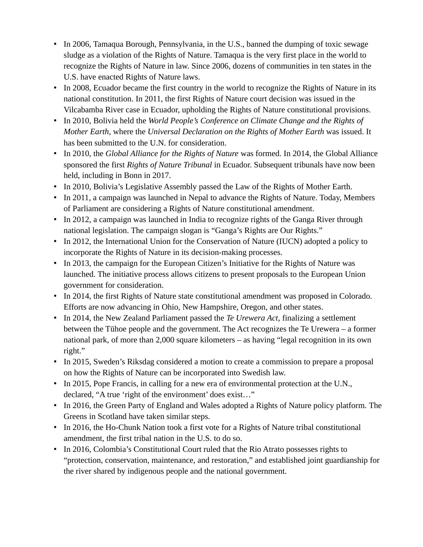- In 2006, Tamaqua Borough, Pennsylvania, in the U.S., banned the dumping of toxic sewage sludge as a violation of the Rights of Nature. Tamaqua is the very first place in the world to recognize the Rights of Nature in law. Since 2006, dozens of communities in ten states in the U.S. have enacted Rights of Nature laws.
- In 2008, Ecuador became the first country in the world to recognize the Rights of Nature in its national constitution. In 2011, the first Rights of Nature court decision was issued in the Vilcabamba River case in Ecuador, upholding the Rights of Nature constitutional provisions.
- In 2010, Bolivia held the *World People's Conference on Climate Change and the Rights of Mother Earth*, where the *Universal Declaration on the Rights of Mother Earth* was issued. It has been submitted to the U.N. for consideration.
- In 2010, the *Global Alliance for the Rights of Nature* was formed. In 2014, the Global Alliance sponsored the first *Rights of Nature Tribunal* in Ecuador. Subsequent tribunals have now been held, including in Bonn in 2017.
- In 2010, Bolivia's Legislative Assembly passed the Law of the Rights of Mother Earth.
- In 2011, a campaign was launched in Nepal to advance the Rights of Nature. Today, Members of Parliament are considering a Rights of Nature constitutional amendment.
- In 2012, a campaign was launched in India to recognize rights of the Ganga River through national legislation. The campaign slogan is "Ganga's Rights are Our Rights."
- In 2012, the International Union for the Conservation of Nature (IUCN) adopted a policy to incorporate the Rights of Nature in its decision-making processes.
- In 2013, the campaign for the European Citizen's Initiative for the Rights of Nature was launched. The initiative process allows citizens to present proposals to the European Union government for consideration.
- In 2014, the first Rights of Nature state constitutional amendment was proposed in Colorado. Efforts are now advancing in Ohio, New Hampshire, Oregon, and other states.
- In 2014, the New Zealand Parliament passed the *Te Urewera Act*, finalizing a settlement between the Tūhoe people and the government. The Act recognizes the Te Urewera – a former national park, of more than 2,000 square kilometers – as having "legal recognition in its own right."
- In 2015, Sweden's Riksdag considered a motion to create a commission to prepare a proposal on how the Rights of Nature can be incorporated into Swedish law.
- In 2015, Pope Francis, in calling for a new era of environmental protection at the U.N., declared, "A true 'right of the environment' does exist…"
- In 2016, the Green Party of England and Wales adopted a Rights of Nature policy platform. The Greens in Scotland have taken similar steps.
- In 2016, the Ho-Chunk Nation took a first vote for a Rights of Nature tribal constitutional amendment, the first tribal nation in the U.S. to do so.
- In 2016, Colombia's Constitutional Court ruled that the Rio Atrato possesses rights to "protection, conservation, maintenance, and restoration," and established joint guardianship for the river shared by indigenous people and the national government.